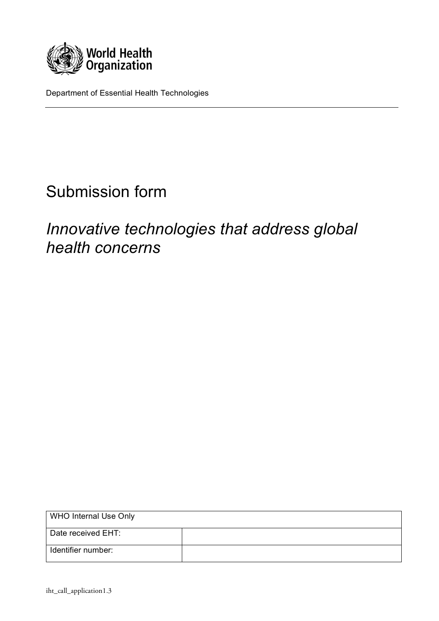

Department of Essential Health Technologies

# Submission form

# *Innovative technologies that address global health concerns*

| <b>WHO Internal Use Only</b> |  |
|------------------------------|--|
| Date received EHT:           |  |
| Identifier number:           |  |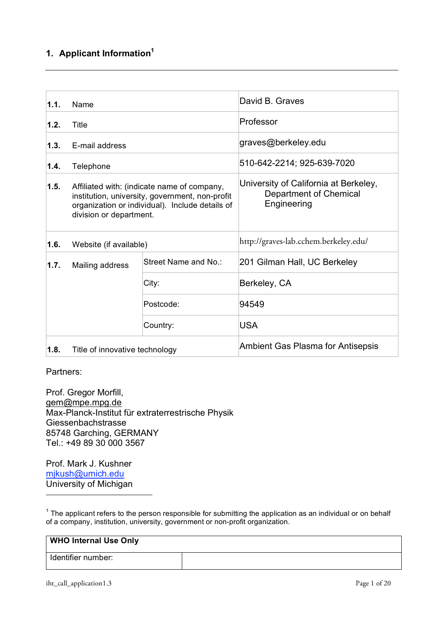# **1. Applicant Information1**

| 1.1.                    | Name                                                                                                                                                                         |                      | David B. Graves                                                                       |
|-------------------------|------------------------------------------------------------------------------------------------------------------------------------------------------------------------------|----------------------|---------------------------------------------------------------------------------------|
| 1.2.                    | Title                                                                                                                                                                        |                      | Professor                                                                             |
| 1.3.                    | E-mail address                                                                                                                                                               |                      | graves@berkeley.edu                                                                   |
| 1.4.                    | Telephone                                                                                                                                                                    |                      | 510-642-2214; 925-639-7020                                                            |
| 1.5.                    | Affiliated with: (indicate name of company,<br>institution, university, government, non-profit<br>organization or individual). Include details of<br>division or department. |                      | University of California at Berkeley,<br><b>Department of Chemical</b><br>Engineering |
| 1.6.                    | Website (if available)                                                                                                                                                       |                      | http://graves-lab.cchem.berkeley.edu/                                                 |
| 1.7.<br>Mailing address |                                                                                                                                                                              | Street Name and No.: | 201 Gilman Hall, UC Berkeley                                                          |
|                         |                                                                                                                                                                              | City:                | Berkeley, CA                                                                          |
|                         |                                                                                                                                                                              | Postcode:            | 94549                                                                                 |
|                         |                                                                                                                                                                              | Country:             | <b>USA</b>                                                                            |
| 1.8.                    | Title of innovative technology                                                                                                                                               |                      | <b>Ambient Gas Plasma for Antisepsis</b>                                              |

Partners:

 $\overline{a}$ 

Prof. Gregor Morfill, gem@mpe.mpg.de Max-Planck-Institut für extraterrestrische Physik Giessenbachstrasse 85748 Garching, GERMANY Tel.: +49 89 30 000 3567

Prof. Mark J. Kushner mjkush@umich.edu University of Michigan

 $1$  The applicant refers to the person responsible for submitting the application as an individual or on behalf of a company, institution, university, government or non-profit organization.

| <b>WHO Internal Use Only</b> |  |
|------------------------------|--|
| Identifier number:           |  |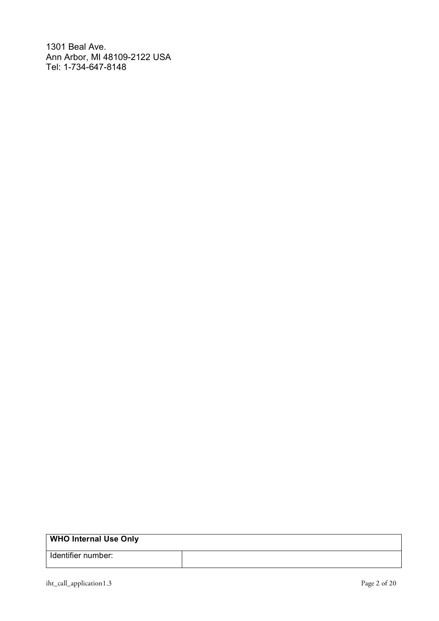1301 Beal Ave. Ann Arbor, MI 48109-2122 USA Tel: 1-734-647-8148

| <b>WHO Internal Use Only</b> |  |
|------------------------------|--|
| Identifier number:           |  |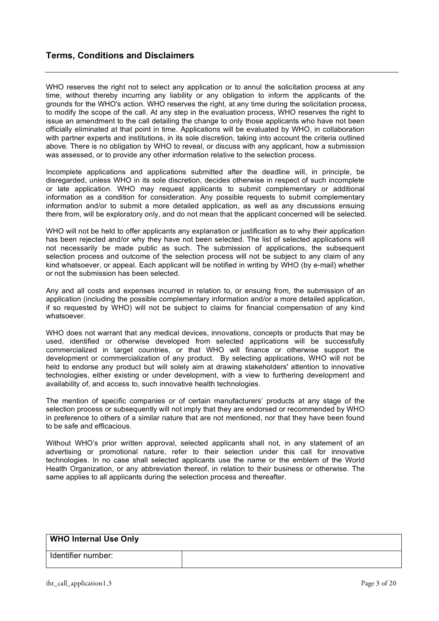# **Terms, Conditions and Disclaimers**

WHO reserves the right not to select any application or to annul the solicitation process at any time, without thereby incurring any liability or any obligation to inform the applicants of the grounds for the WHO's action. WHO reserves the right, at any time during the solicitation process, to modify the scope of the call. At any step in the evaluation process, WHO reserves the right to issue an amendment to the call detailing the change to only those applicants who have not been officially eliminated at that point in time. Applications will be evaluated by WHO, in collaboration with partner experts and institutions, in its sole discretion, taking into account the criteria outlined above. There is no obligation by WHO to reveal, or discuss with any applicant, how a submission was assessed, or to provide any other information relative to the selection process.

Incomplete applications and applications submitted after the deadline will, in principle, be disregarded, unless WHO in its sole discretion, decides otherwise in respect of such incomplete or late application. WHO may request applicants to submit complementary or additional information as a condition for consideration. Any possible requests to submit complementary information and/or to submit a more detailed application, as well as any discussions ensuing there from, will be exploratory only, and do not mean that the applicant concerned will be selected.

WHO will not be held to offer applicants any explanation or justification as to why their application has been rejected and/or why they have not been selected. The list of selected applications will not necessarily be made public as such. The submission of applications, the subsequent selection process and outcome of the selection process will not be subject to any claim of any kind whatsoever, or appeal. Each applicant will be notified in writing by WHO (by e-mail) whether or not the submission has been selected.

Any and all costs and expenses incurred in relation to, or ensuing from, the submission of an application (including the possible complementary information and/or a more detailed application, if so requested by WHO) will not be subject to claims for financial compensation of any kind whatsoever.

WHO does not warrant that any medical devices, innovations, concepts or products that may be used, identified or otherwise developed from selected applications will be successfully commercialized in target countries, or that WHO will finance or otherwise support the development or commercialization of any product. By selecting applications, WHO will not be held to endorse any product but will solely aim at drawing stakeholders' attention to innovative technologies, either existing or under development, with a view to furthering development and availability of, and access to, such innovative health technologies.

The mention of specific companies or of certain manufacturers' products at any stage of the selection process or subsequently will not imply that they are endorsed or recommended by WHO in preference to others of a similar nature that are not mentioned, nor that they have been found to be safe and efficacious.

Without WHO's prior written approval, selected applicants shall not, in any statement of an advertising or promotional nature, refer to their selection under this call for innovative technologies. In no case shall selected applicants use the name or the emblem of the World Health Organization, or any abbreviation thereof, in relation to their business or otherwise. The same applies to all applicants during the selection process and thereafter.

| <b>WHO Internal Use Only</b> |  |
|------------------------------|--|
| Identifier number:           |  |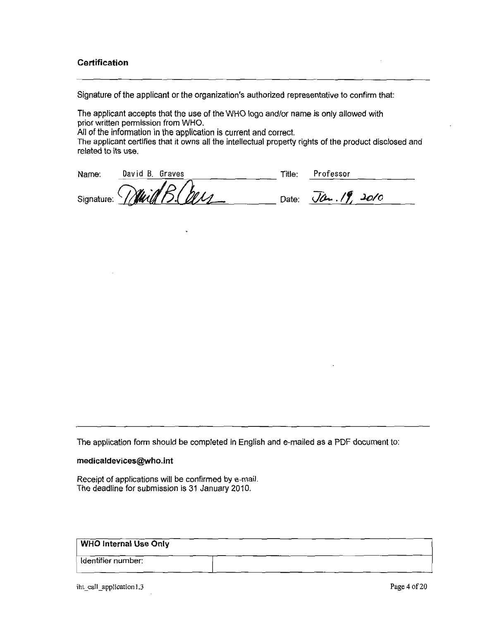#### **Certification**

Signature of the applicant or the organization's authorized representative to confirm that:

The applicant accepts that the use of the WHO logo and/or name is only allowed with prior written permission from WHO.

All of the information in the application is current and correct.

The applicant certifies that it owns all the intellectual property rights of the product disclosed and related to its use.

| Name: | David B. Graves          | Title: | Professor                    |
|-------|--------------------------|--------|------------------------------|
|       | Signature: While B. Cour |        | Date: $\sqrt{a}$ . $19.2010$ |

The application form should be completed in English and e-mailed as a PDF document to:

#### medicaldevices@who.int

Receipt of applications will be confirmed by e-mail. The deadline for submission is 31 January 2010.

#### **WHO Internal Use Only**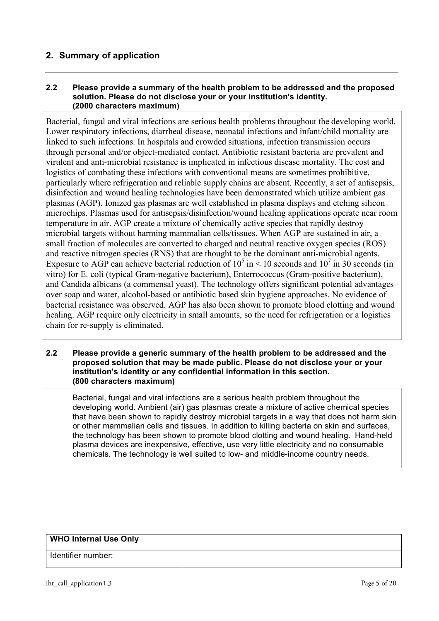# **2. Summary of application**

### **2.2 Please provide a summary of the health problem to be addressed and the proposed solution. Please do not disclose your or your institution's identity. (2000 characters maximum)**

Bacterial, fungal and viral infections are serious health problems throughout the developing world. Lower respiratory infections, diarrheal disease, neonatal infections and infant/child mortality are linked to such infections. In hospitals and crowded situations, infection transmission occurs through personal and/or object-mediated contact. Antibiotic resistant bacteria are prevalent and virulent and anti-microbial resistance is implicated in infectious disease mortality. The cost and logistics of combating these infections with conventional means are sometimes prohibitive, particularly where refrigeration and reliable supply chains are absent. Recently, a set of antisepsis, disinfection and wound healing technologies have been demonstrated which utilize ambient gas plasmas (AGP). Ionized gas plasmas are well established in plasma displays and etching silicon microchips. Plasmas used for antisepsis/disinfection/wound healing applications operate near room temperature in air. AGP create a mixture of chemically active species that rapidly destroy microbial targets without harming mammalian cells/tissues. When AGP are sustained in air, a small fraction of molecules are converted to charged and neutral reactive oxygen species (ROS) and reactive nitrogen species (RNS) that are thought to be the dominant anti-microbial agents. Exposure to AGP can achieve bacterial reduction of  $10^5$  in  $\leq 10$  seconds and  $10^7$  in 30 seconds (in vitro) for E. coli (typical Gram-negative bacterium), Enterrococcus (Gram-positive bacterium), and Candida albicans (a commensal yeast). The technology offers significant potential advantages over soap and water, alcohol-based or antibiotic based skin hygiene approaches. No evidence of bacterial resistance was observed. AGP has also been shown to promote blood clotting and wound healing. AGP require only electricity in small amounts, so the need for refrigeration or a logistics chain for re-supply is eliminated.

#### **2.2 Please provide a generic summary of the health problem to be addressed and the proposed solution that may be made public. Please do not disclose your or your institution's identity or any confidential information in this section. (800 characters maximum)**

Bacterial, fungal and viral infections are a serious health problem throughout the developing world. Ambient (air) gas plasmas create a mixture of active chemical species that have been shown to rapidly destroy microbial targets in a way that does not harm skin or other mammalian cells and tissues. In addition to killing bacteria on skin and surfaces, the technology has been shown to promote blood clotting and wound healing. Hand-held plasma devices are inexpensive, effective, use very little electricity and no consumable chemicals. The technology is well suited to low- and middle-income country needs.

| WHO Internal Use Only |  |
|-----------------------|--|
| Identifier number:    |  |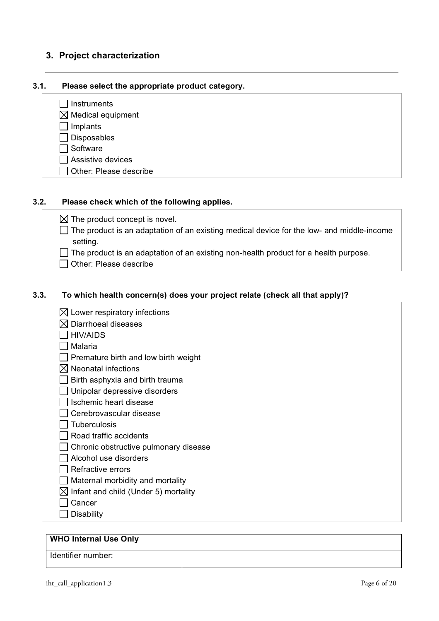# **3. Project characterization**

#### **3.1. Please select the appropriate product category.**

 $\Box$  Instruments  $\boxtimes$  Medical equipment  $\Box$  Implants  $\Box$  Disposables

 $\Box$  Software

 $\Box$  Assistive devices

 $\Box$  Other: Please describe

### **3.2. Please check which of the following applies.**

 $\boxtimes$  The product concept is novel.

 $\Box$  The product is an adaptation of an existing medical device for the low- and middle-income setting.

 $\Box$  The product is an adaptation of an existing non-health product for a health purpose.

□ Other: Please describe

## **3.3. To which health concern(s) does your project relate (check all that apply)?**

- $\boxtimes$  Lower respiratory infections  $\boxtimes$  Diarrhoeal diseases  $\Box$  HIV/AIDS  $\Box$  Malaria  $\Box$  Premature birth and low birth weight  $\boxtimes$  Neonatal infections
	- $\Box$  Birth asphyxia and birth trauma
	- $\Box$  Unipolar depressive disorders
	- $\Box$  Ischemic heart disease
	- $\Box$  Cerebrovascular disease
	- $\Box$  Tuberculosis
	- $\Box$  Road traffic accidents
	- $\Box$  Chronic obstructive pulmonary disease
	- $\Box$  Alcohol use disorders
	- $\Box$  Refractive errors
	- $\Box$  Maternal morbidity and mortality
	- $\boxtimes$  Infant and child (Under 5) mortality
	- $\Box$  Cancer
	- $\Box$  Disability

#### **WHO Internal Use Only**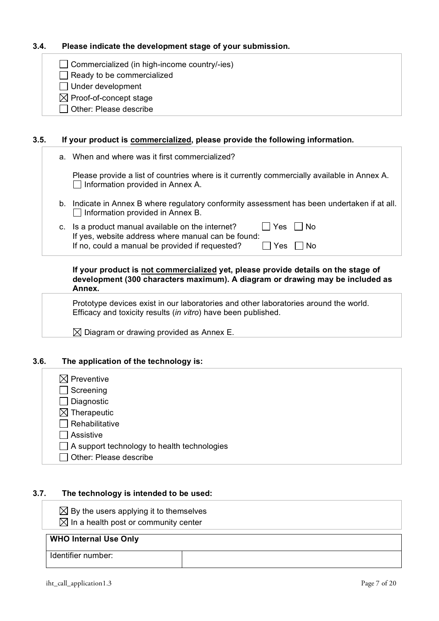# **3.4. Please indicate the development stage of your submission.**

 $\Box$  Commercialized (in high-income country/-ies)

 $\Box$  Ready to be commercialized

 $\Box$  Under development

 $\boxtimes$  Proof-of-concept stage

Other: Please describe

## **3.5. If your product is commercialized, please provide the following information.**

|    | a. When and where was it first commercialized?                                                                                          |
|----|-----------------------------------------------------------------------------------------------------------------------------------------|
|    | Please provide a list of countries where is it currently commercially available in Annex A.<br>Information provided in Annex A.         |
|    | b. Indicate in Annex B where regulatory conformity assessment has been undertaken if at all.<br>$\Box$ Information provided in Annex B. |
| c. | <b>Yes</b><br>Is a product manual available on the internet?<br>No<br>If yes, website address where manual can be found:                |
|    | If no, could a manual be provided if requested?<br>Yes<br>Nο                                                                            |
|    | If your product is not commercialized yet, please provide details on the stage of                                                       |

#### **If your product is not commercialized yet, please provide details on the stage of development (300 characters maximum). A diagram or drawing may be included as Annex.**

Prototype devices exist in our laboratories and other laboratories around the world. Efficacy and toxicity results (*in vitro*) have been published.

 $\boxtimes$  Diagram or drawing provided as Annex E.

## **3.6. The application of the technology is:**

| $\boxtimes$ Preventive                             |
|----------------------------------------------------|
| $\Box$ Screening                                   |
| $\Box$ Diagnostic                                  |
| $\boxtimes$ Therapeutic                            |
| $\Box$ Rehabilitative                              |
| Assistive                                          |
| $\Box$ A support technology to health technologies |
| Other: Please describe                             |

## **3.7. The technology is intended to be used:**

 $\boxtimes$  By the users applying it to themselves

 $\boxtimes$  In a health post or community center

# **WHO Internal Use Only**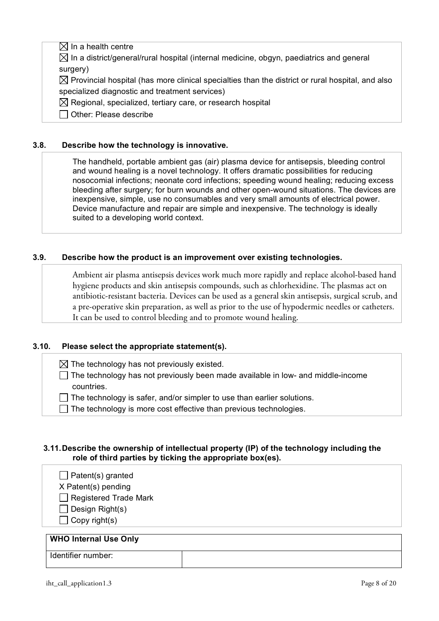# $\boxtimes$  In a health centre

 $\boxtimes$  In a district/general/rural hospital (internal medicine, obgyn, paediatrics and general surgery)

 $\boxtimes$  Provincial hospital (has more clinical specialties than the district or rural hospital, and also specialized diagnostic and treatment services)

 $\boxtimes$  Regional, specialized, tertiary care, or research hospital

 $\Box$  Other: Please describe

## **3.8. Describe how the technology is innovative.**

The handheld, portable ambient gas (air) plasma device for antisepsis, bleeding control and wound healing is a novel technology. It offers dramatic possibilities for reducing nosocomial infections; neonate cord infections; speeding wound healing; reducing excess bleeding after surgery; for burn wounds and other open-wound situations. The devices are inexpensive, simple, use no consumables and very small amounts of electrical power. Device manufacture and repair are simple and inexpensive. The technology is ideally suited to a developing world context.

# **3.9. Describe how the product is an improvement over existing technologies.**

Ambient air plasma antisepsis devices work much more rapidly and replace alcohol-based hand hygiene products and skin antisepsis compounds, such as chlorhexidine. The plasmas act on antibiotic-resistant bacteria. Devices can be used as a general skin antisepsis, surgical scrub, and a pre-operative skin preparation, as well as prior to the use of hypodermic needles or catheters. It can be used to control bleeding and to promote wound healing.

## **3.10. Please select the appropriate statement(s).**

- $\boxtimes$  The technology has not previously existed.
- $\Box$  The technology has not previously been made available in low- and middle-income countries.
- $\Box$  The technology is safer, and/or simpler to use than earlier solutions.
- $\Box$  The technology is more cost effective than previous technologies.

## **3.11.Describe the ownership of intellectual property (IP) of the technology including the role of third parties by ticking the appropriate box(es).**

 $\Box$  Patent(s) granted

X Patent(s) pending

Registered Trade Mark

 $\Box$  Design Right(s)

 $\Box$  Copy right(s)

# **WHO Internal Use Only**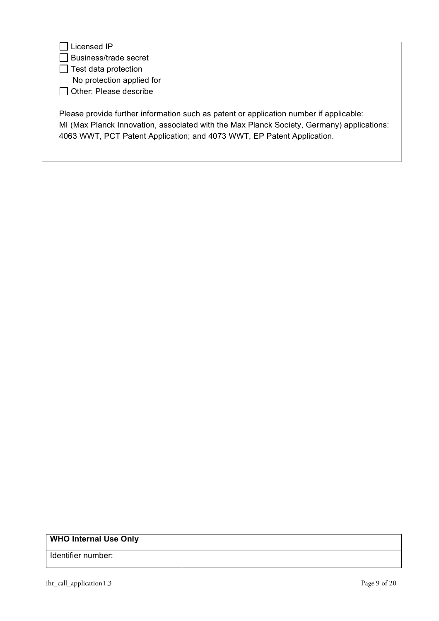# $\Box$  Licensed IP

□ Business/trade secret

 $\Box$  Test data protection

No protection applied for

Other: Please describe

Please provide further information such as patent or application number if applicable: MI (Max Planck Innovation, associated with the Max Planck Society, Germany) applications: 4063 WWT, PCT Patent Application; and 4073 WWT, EP Patent Application.

| <b>WHO Internal Use Only</b> |  |
|------------------------------|--|
| Identifier number:           |  |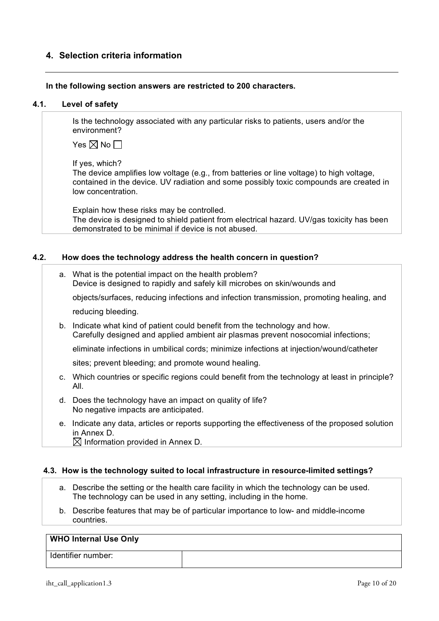# **4. Selection criteria information**

#### **In the following section answers are restricted to 200 characters.**

#### **4.1. Level of safety**

Is the technology associated with any particular risks to patients, users and/or the environment?

Yes  $\nabla$  No  $\nabla$ 

If yes, which?

The device amplifies low voltage (e.g., from batteries or line voltage) to high voltage, contained in the device. UV radiation and some possibly toxic compounds are created in low concentration.

Explain how these risks may be controlled. The device is designed to shield patient from electrical hazard. UV/gas toxicity has been demonstrated to be minimal if device is not abused.

### **4.2. How does the technology address the health concern in question?**

a. What is the potential impact on the health problem? Device is designed to rapidly and safely kill microbes on skin/wounds and objects/surfaces, reducing infections and infection transmission, promoting healing, and

reducing bleeding.

b. Indicate what kind of patient could benefit from the technology and how. Carefully designed and applied ambient air plasmas prevent nosocomial infections;

eliminate infections in umbilical cords; minimize infections at injection/wound/catheter

sites; prevent bleeding; and promote wound healing.

- c. Which countries or specific regions could benefit from the technology at least in principle? All.
- d. Does the technology have an impact on quality of life? No negative impacts are anticipated.
- e. Indicate any data, articles or reports supporting the effectiveness of the proposed solution in Annex D.

 $\boxtimes$  Information provided in Annex D.

#### **4.3. How is the technology suited to local infrastructure in resource-limited settings?**

- a. Describe the setting or the health care facility in which the technology can be used. The technology can be used in any setting, including in the home.
- b. Describe features that may be of particular importance to low- and middle-income countries.

#### **WHO Internal Use Only**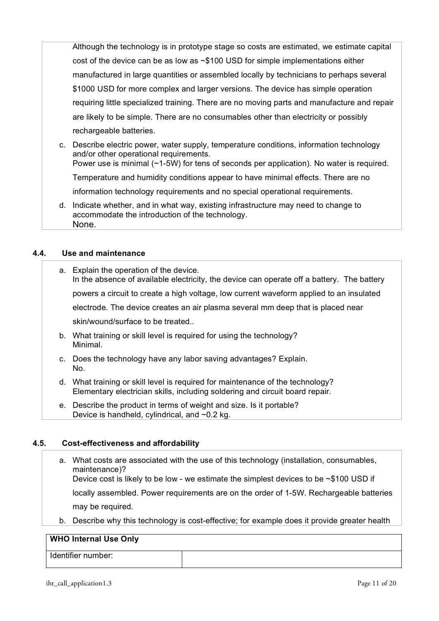Although the technology is in prototype stage so costs are estimated, we estimate capital cost of the device can be as low as ~\$100 USD for simple implementations either manufactured in large quantities or assembled locally by technicians to perhaps several \$1000 USD for more complex and larger versions. The device has simple operation requiring little specialized training. There are no moving parts and manufacture and repair are likely to be simple. There are no consumables other than electricity or possibly rechargeable batteries.

- c. Describe electric power, water supply, temperature conditions, information technology and/or other operational requirements. Power use is minimal (~1-5W) for tens of seconds per application). No water is required. Temperature and humidity conditions appear to have minimal effects. There are no information technology requirements and no special operational requirements. d. Indicate whether, and in what way, existing infrastructure may need to change to
- accommodate the introduction of the technology. None.

## **4.4. Use and maintenance**

- a. Explain the operation of the device. In the absence of available electricity, the device can operate off a battery. The battery powers a circuit to create a high voltage, low current waveform applied to an insulated electrode. The device creates an air plasma several mm deep that is placed near skin/wound/surface to be treated.. b. What training or skill level is required for using the technology? Minimal. c. Does the technology have any labor saving advantages? Explain.
- No. d. What training or skill level is required for maintenance of the technology? Elementary electrician skills, including soldering and circuit board repair.
- e. Describe the product in terms of weight and size. Is it portable? Device is handheld, cylindrical, and ~0.2 kg.

#### **4.5. Cost-effectiveness and affordability**

a. What costs are associated with the use of this technology (installation, consumables, maintenance)? Device cost is likely to be low - we estimate the simplest devices to be  $\sim$ \$100 USD if

locally assembled. Power requirements are on the order of 1-5W. Rechargeable batteries

may be required.

b. Describe why this technology is cost-effective; for example does it provide greater health

## **WHO Internal Use Only**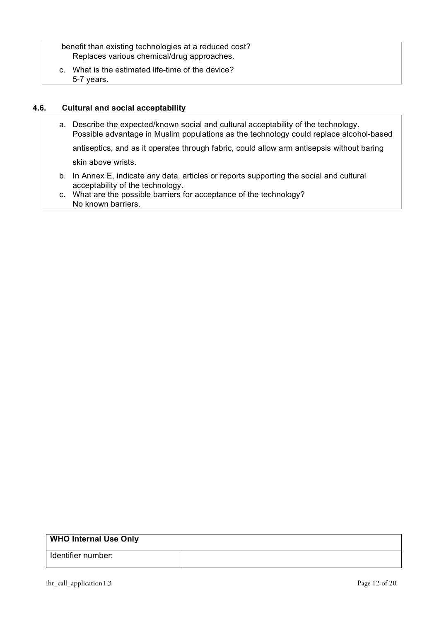benefit than existing technologies at a reduced cost? Replaces various chemical/drug approaches.

c. What is the estimated life-time of the device? 5-7 years.

## **4.6. Cultural and social acceptability**

- a. Describe the expected/known social and cultural acceptability of the technology. Possible advantage in Muslim populations as the technology could replace alcohol-based antiseptics, and as it operates through fabric, could allow arm antisepsis without baring skin above wrists.
- b. In Annex E, indicate any data, articles or reports supporting the social and cultural acceptability of the technology.
- c. What are the possible barriers for acceptance of the technology? No known barriers.

| <b>WHO Internal Use Only</b> |  |
|------------------------------|--|
| Identifier number:           |  |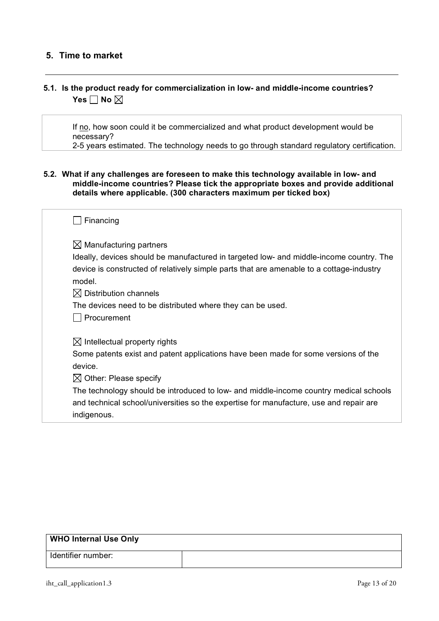# **5. Time to market**

# **5.1. Is the product ready for commercialization in low- and middle-income countries? Yes**  $\Box$  No  $\boxtimes$

If no, how soon could it be commercialized and what product development would be necessary?

2-5 years estimated. The technology needs to go through standard regulatory certification.

### **5.2. What if any challenges are foreseen to make this technology available in low- and middle-income countries? Please tick the appropriate boxes and provide additional details where applicable. (300 characters maximum per ticked box)**

| Financing                                                                                                                                                                                                                 |
|---------------------------------------------------------------------------------------------------------------------------------------------------------------------------------------------------------------------------|
| $\boxtimes$ Manufacturing partners<br>Ideally, devices should be manufactured in targeted low- and middle-income country. The<br>device is constructed of relatively simple parts that are amenable to a cottage-industry |
| model.                                                                                                                                                                                                                    |
| $\boxtimes$ Distribution channels                                                                                                                                                                                         |
| The devices need to be distributed where they can be used.                                                                                                                                                                |
| Procurement                                                                                                                                                                                                               |
| $\boxtimes$ Intellectual property rights                                                                                                                                                                                  |
| Some patents exist and patent applications have been made for some versions of the                                                                                                                                        |
| device.                                                                                                                                                                                                                   |
| $\boxtimes$ Other: Please specify                                                                                                                                                                                         |
| The technology should be introduced to low- and middle-income country medical schools<br>and technical school/universities so the expertise for manufacture, use and repair are<br>indigenous.                            |

| <b>WHO Internal Use Only</b> |  |
|------------------------------|--|
| Identifier number:           |  |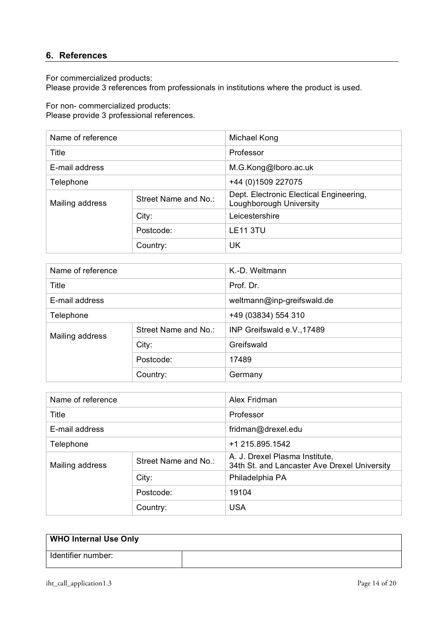# **6. References**

For commercialized products:

Please provide 3 references from professionals in institutions where the product is used.

For non- commercialized products:

Please provide 3 professional references.

| Name of reference |                      | Michael Kong                                                       |
|-------------------|----------------------|--------------------------------------------------------------------|
| Title             |                      | Professor                                                          |
| E-mail address    |                      | M.G.Kong@lboro.ac.uk                                               |
| Telephone         |                      | +44 (0) 1509 227075                                                |
| Mailing address   | Street Name and No.: | Dept. Electronic Electical Engineering,<br>Loughborough University |
|                   | City:                | Leicestershire                                                     |
|                   | Postcode:            | <b>LE11 3TU</b>                                                    |
|                   | Country:             | UK                                                                 |

| Name of reference |                      | K.-D. Weltmann             |
|-------------------|----------------------|----------------------------|
| Title             |                      | Prof. Dr.                  |
| E-mail address    |                      | weltmann@inp-greifswald.de |
| Telephone         |                      | +49 (03834) 554 310        |
| Mailing address   | Street Name and No.: | INP Greifswald e.V., 17489 |
|                   | City:                | Greifswald                 |
|                   | Postcode:            | 17489                      |
|                   | Country:             | Germany                    |

| Name of reference |                      | Alex Fridman                                                                   |
|-------------------|----------------------|--------------------------------------------------------------------------------|
| Title             |                      | Professor                                                                      |
| E-mail address    |                      | fridman@drexel.edu                                                             |
| Telephone         |                      | +1 215.895.1542                                                                |
| Mailing address   | Street Name and No.: | A. J. Drexel Plasma Institute,<br>34th St. and Lancaster Ave Drexel University |
|                   | City:                | Philadelphia PA                                                                |
|                   | Postcode:            | 19104                                                                          |
|                   | Country:             | <b>USA</b>                                                                     |

| <b>WHO Internal Use Only</b> |  |
|------------------------------|--|
| Identifier number:           |  |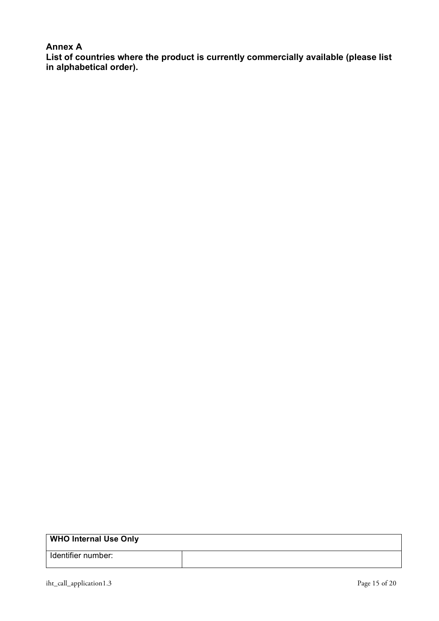# **Annex A**

**List of countries where the product is currently commercially available (please list in alphabetical order).**

| Identifier number: |  |
|--------------------|--|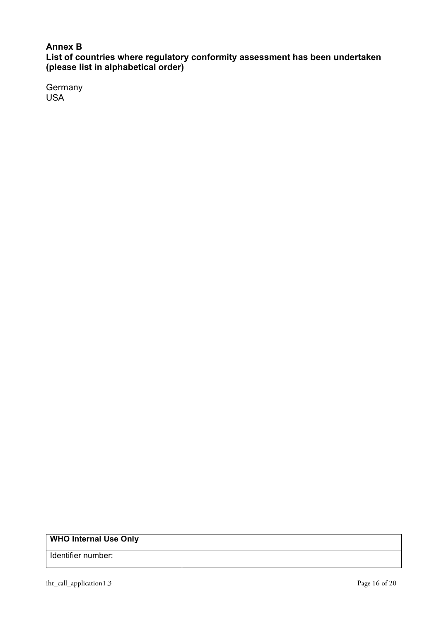# **Annex B**

**List of countries where regulatory conformity assessment has been undertaken (please list in alphabetical order)**

**Germany** USA

| <b>WHO Internal Use Only</b> |  |
|------------------------------|--|
| Identifier number:           |  |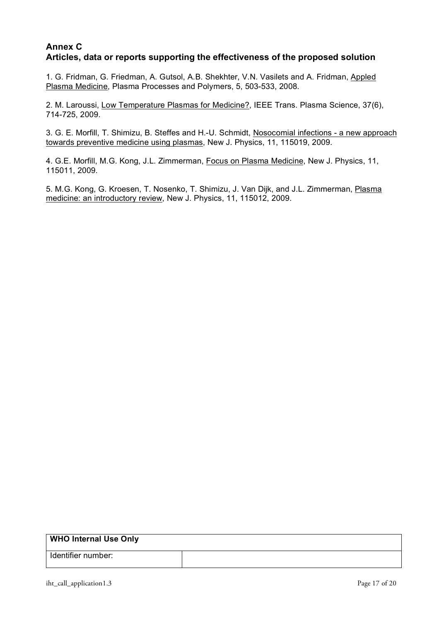# **Annex C Articles, data or reports supporting the effectiveness of the proposed solution**

1. G. Fridman, G. Friedman, A. Gutsol, A.B. Shekhter, V.N. Vasilets and A. Fridman, Appled Plasma Medicine, Plasma Processes and Polymers, 5, 503-533, 2008.

2. M. Laroussi, Low Temperature Plasmas for Medicine?, IEEE Trans. Plasma Science, 37(6), 714-725, 2009.

3. G. E. Morfill, T. Shimizu, B. Steffes and H.-U. Schmidt, Nosocomial infections - a new approach towards preventive medicine using plasmas, New J. Physics, 11, 115019, 2009.

4. G.E. Morfill, M.G. Kong, J.L. Zimmerman, Focus on Plasma Medicine, New J. Physics, 11, 115011, 2009.

5. M.G. Kong, G. Kroesen, T. Nosenko, T. Shimizu, J. Van Dijk, and J.L. Zimmerman, Plasma medicine: an introductory review, New J. Physics, 11, 115012, 2009.

| <b>WHO Internal Use Only</b> |  |
|------------------------------|--|
| Identifier number:           |  |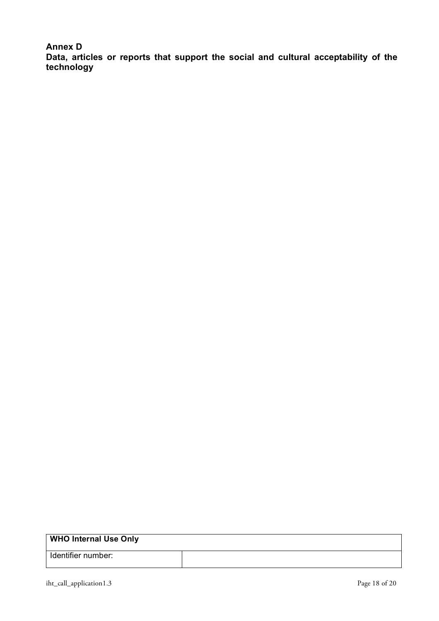**Annex D**

**Data, articles or reports that support the social and cultural acceptability of the technology**

| <b>WHO Internal Use Only</b> |  |
|------------------------------|--|
| Identifier number:           |  |